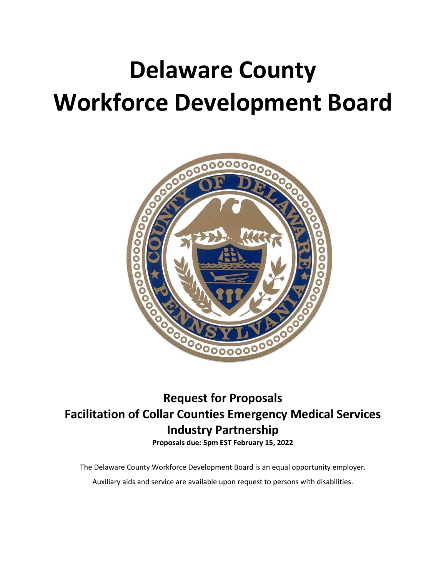# **Delaware County Workforce Development Board**



# **Request for Proposals Facilitation of Collar Counties Emergency Medical Services Industry Partnership**

**Proposals due: 5pm EST February 15, 2022**

The Delaware County Workforce Development Board is an equal opportunity employer.

Auxiliary aids and service are available upon request to persons with disabilities.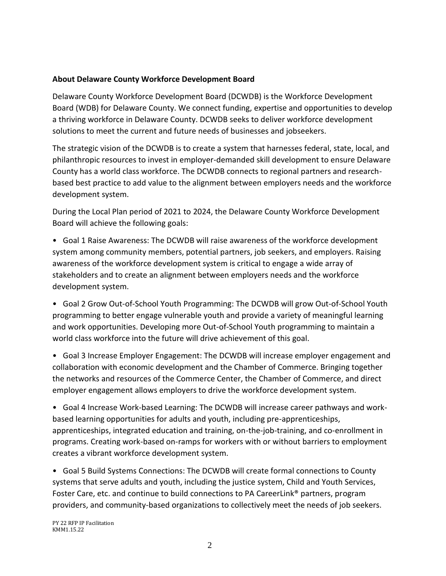#### **About Delaware County Workforce Development Board**

Delaware County Workforce Development Board (DCWDB) is the Workforce Development Board (WDB) for Delaware County. We connect funding, expertise and opportunities to develop a thriving workforce in Delaware County. DCWDB seeks to deliver workforce development solutions to meet the current and future needs of businesses and jobseekers.

The strategic vision of the DCWDB is to create a system that harnesses federal, state, local, and philanthropic resources to invest in employer-demanded skill development to ensure Delaware County has a world class workforce. The DCWDB connects to regional partners and researchbased best practice to add value to the alignment between employers needs and the workforce development system.

During the Local Plan period of 2021 to 2024, the Delaware County Workforce Development Board will achieve the following goals:

• Goal 1 Raise Awareness: The DCWDB will raise awareness of the workforce development system among community members, potential partners, job seekers, and employers. Raising awareness of the workforce development system is critical to engage a wide array of stakeholders and to create an alignment between employers needs and the workforce development system.

• Goal 2 Grow Out-of-School Youth Programming: The DCWDB will grow Out-of-School Youth programming to better engage vulnerable youth and provide a variety of meaningful learning and work opportunities. Developing more Out-of-School Youth programming to maintain a world class workforce into the future will drive achievement of this goal.

• Goal 3 Increase Employer Engagement: The DCWDB will increase employer engagement and collaboration with economic development and the Chamber of Commerce. Bringing together the networks and resources of the Commerce Center, the Chamber of Commerce, and direct employer engagement allows employers to drive the workforce development system.

• Goal 4 Increase Work-based Learning: The DCWDB will increase career pathways and workbased learning opportunities for adults and youth, including pre-apprenticeships, apprenticeships, integrated education and training, on-the-job-training, and co-enrollment in programs. Creating work-based on-ramps for workers with or without barriers to employment creates a vibrant workforce development system.

• Goal 5 Build Systems Connections: The DCWDB will create formal connections to County systems that serve adults and youth, including the justice system, Child and Youth Services, Foster Care, etc. and continue to build connections to PA CareerLink® partners, program providers, and community-based organizations to collectively meet the needs of job seekers.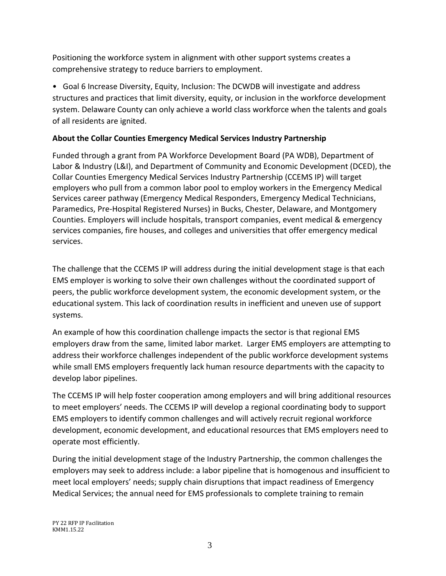Positioning the workforce system in alignment with other support systems creates a comprehensive strategy to reduce barriers to employment.

• Goal 6 Increase Diversity, Equity, Inclusion: The DCWDB will investigate and address structures and practices that limit diversity, equity, or inclusion in the workforce development system. Delaware County can only achieve a world class workforce when the talents and goals of all residents are ignited.

# **About the Collar Counties Emergency Medical Services Industry Partnership**

Funded through a grant from PA Workforce Development Board (PA WDB), Department of Labor & Industry (L&I), and Department of Community and Economic Development (DCED), the Collar Counties Emergency Medical Services Industry Partnership (CCEMS IP) will target employers who pull from a common labor pool to employ workers in the Emergency Medical Services career pathway (Emergency Medical Responders, Emergency Medical Technicians, Paramedics, Pre-Hospital Registered Nurses) in Bucks, Chester, Delaware, and Montgomery Counties. Employers will include hospitals, transport companies, event medical & emergency services companies, fire houses, and colleges and universities that offer emergency medical services.

The challenge that the CCEMS IP will address during the initial development stage is that each EMS employer is working to solve their own challenges without the coordinated support of peers, the public workforce development system, the economic development system, or the educational system. This lack of coordination results in inefficient and uneven use of support systems.

An example of how this coordination challenge impacts the sector is that regional EMS employers draw from the same, limited labor market. Larger EMS employers are attempting to address their workforce challenges independent of the public workforce development systems while small EMS employers frequently lack human resource departments with the capacity to develop labor pipelines.

The CCEMS IP will help foster cooperation among employers and will bring additional resources to meet employers' needs. The CCEMS IP will develop a regional coordinating body to support EMS employers to identify common challenges and will actively recruit regional workforce development, economic development, and educational resources that EMS employers need to operate most efficiently.

During the initial development stage of the Industry Partnership, the common challenges the employers may seek to address include: a labor pipeline that is homogenous and insufficient to meet local employers' needs; supply chain disruptions that impact readiness of Emergency Medical Services; the annual need for EMS professionals to complete training to remain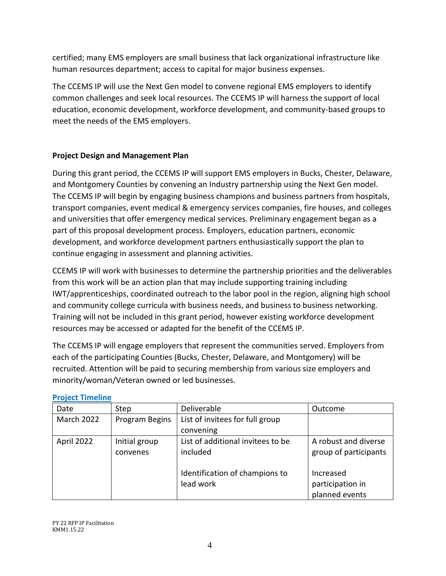certified; many EMS employers are small business that lack organizational infrastructure like human resources department; access to capital for major business expenses.

The CCEMS IP will use the Next Gen model to convene regional EMS employers to identify common challenges and seek local resources. The CCEMS IP will harness the support of local education, economic development, workforce development, and community-based groups to meet the needs of the EMS employers.

# **Project Design and Management Plan**

During this grant period, the CCEMS IP will support EMS employers in Bucks, Chester, Delaware, and Montgomery Counties by convening an Industry partnership using the Next Gen model. The CCEMS IP will begin by engaging business champions and business partners from hospitals, transport companies, event medical & emergency services companies, fire houses, and colleges and universities that offer emergency medical services. Preliminary engagement began as a part of this proposal development process. Employers, education partners, economic development, and workforce development partners enthusiastically support the plan to continue engaging in assessment and planning activities.

CCEMS IP will work with businesses to determine the partnership priorities and the deliverables from this work will be an action plan that may include supporting training including IWT/apprenticeships, coordinated outreach to the labor pool in the region, aligning high school and community college curricula with business needs, and business to business networking. Training will not be included in this grant period, however existing workforce development resources may be accessed or adapted for the benefit of the CCEMS IP.

The CCEMS IP will engage employers that represent the communities served. Employers from each of the participating Counties (Bucks, Chester, Delaware, and Montgomery) will be recruited. Attention will be paid to securing membership from various size employers and minority/woman/Veteran owned or led businesses.

| Date       | Step           | Deliverable                       | Outcome               |
|------------|----------------|-----------------------------------|-----------------------|
| March 2022 | Program Begins | List of invitees for full group   |                       |
|            |                | convening                         |                       |
| April 2022 | Initial group  | List of additional invitees to be | A robust and diverse  |
|            | convenes       | included                          | group of participants |
|            |                |                                   |                       |
|            |                | Identification of champions to    | Increased             |
|            |                | lead work                         | participation in      |
|            |                |                                   | planned events        |

#### **Project Timeline**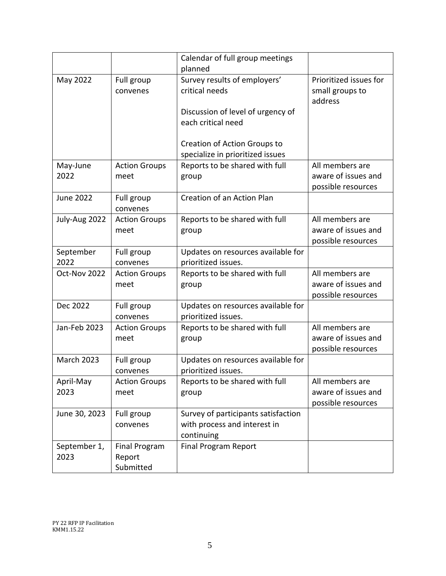|                   |                        | Calendar of full group meetings                           |                            |
|-------------------|------------------------|-----------------------------------------------------------|----------------------------|
|                   |                        | planned                                                   |                            |
| May 2022          | Full group             | Survey results of employers'                              | Prioritized issues for     |
|                   | convenes               | critical needs                                            | small groups to<br>address |
|                   |                        | Discussion of level of urgency of                         |                            |
|                   |                        | each critical need                                        |                            |
|                   |                        |                                                           |                            |
|                   |                        | Creation of Action Groups to                              |                            |
|                   |                        | specialize in prioritized issues                          |                            |
| May-June          | <b>Action Groups</b>   | Reports to be shared with full                            | All members are            |
| 2022              | meet                   | group                                                     | aware of issues and        |
| <b>June 2022</b>  |                        | Creation of an Action Plan                                | possible resources         |
|                   | Full group<br>convenes |                                                           |                            |
| July-Aug 2022     | <b>Action Groups</b>   | Reports to be shared with full                            | All members are            |
|                   | meet                   | group                                                     | aware of issues and        |
|                   |                        |                                                           | possible resources         |
| September         | Full group             | Updates on resources available for                        |                            |
| 2022              | convenes               | prioritized issues.                                       |                            |
| Oct-Nov 2022      | <b>Action Groups</b>   | Reports to be shared with full                            | All members are            |
|                   | meet                   | group                                                     | aware of issues and        |
| Dec 2022          |                        |                                                           | possible resources         |
|                   | Full group<br>convenes | Updates on resources available for<br>prioritized issues. |                            |
| Jan-Feb 2023      | <b>Action Groups</b>   | Reports to be shared with full                            | All members are            |
|                   | meet                   | group                                                     | aware of issues and        |
|                   |                        |                                                           | possible resources         |
| <b>March 2023</b> | Full group             | Updates on resources available for                        |                            |
|                   | convenes               | prioritized issues.                                       |                            |
| April-May         | <b>Action Groups</b>   | Reports to be shared with full                            | All members are            |
| 2023              | meet                   | group                                                     | aware of issues and        |
|                   |                        |                                                           | possible resources         |
| June 30, 2023     | Full group             | Survey of participants satisfaction                       |                            |
|                   | convenes               | with process and interest in<br>continuing                |                            |
| September 1,      | <b>Final Program</b>   | <b>Final Program Report</b>                               |                            |
| 2023              | Report                 |                                                           |                            |
|                   | Submitted              |                                                           |                            |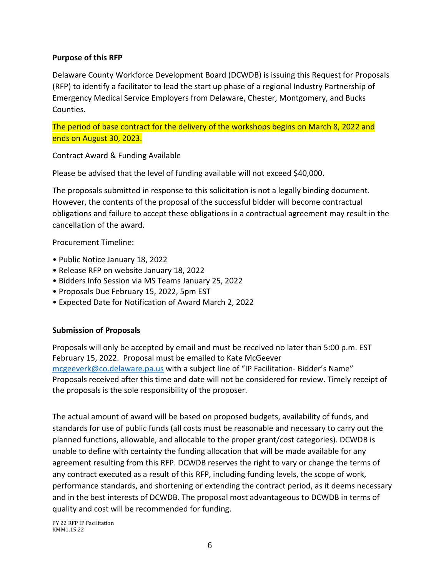#### **Purpose of this RFP**

Delaware County Workforce Development Board (DCWDB) is issuing this Request for Proposals (RFP) to identify a facilitator to lead the start up phase of a regional Industry Partnership of Emergency Medical Service Employers from Delaware, Chester, Montgomery, and Bucks Counties.

The period of base contract for the delivery of the workshops begins on March 8, 2022 and ends on August 30, 2023.

Contract Award & Funding Available

Please be advised that the level of funding available will not exceed \$40,000.

The proposals submitted in response to this solicitation is not a legally binding document. However, the contents of the proposal of the successful bidder will become contractual obligations and failure to accept these obligations in a contractual agreement may result in the cancellation of the award.

Procurement Timeline:

- Public Notice January 18, 2022
- Release RFP on website January 18, 2022
- Bidders Info Session via MS Teams January 25, 2022
- Proposals Due February 15, 2022, 5pm EST
- Expected Date for Notification of Award March 2, 2022

#### **Submission of Proposals**

Proposals will only be accepted by email and must be received no later than 5:00 p.m. EST February 15, 2022. Proposal must be emailed to Kate McGeever [mcgeeverk@co.delaware.pa.us](mailto:mcgeeverk@co.delaware.pa.us) with a subject line of "IP Facilitation- Bidder's Name" Proposals received after this time and date will not be considered for review. Timely receipt of the proposals is the sole responsibility of the proposer.

The actual amount of award will be based on proposed budgets, availability of funds, and standards for use of public funds (all costs must be reasonable and necessary to carry out the planned functions, allowable, and allocable to the proper grant/cost categories). DCWDB is unable to define with certainty the funding allocation that will be made available for any agreement resulting from this RFP. DCWDB reserves the right to vary or change the terms of any contract executed as a result of this RFP, including funding levels, the scope of work, performance standards, and shortening or extending the contract period, as it deems necessary and in the best interests of DCWDB. The proposal most advantageous to DCWDB in terms of quality and cost will be recommended for funding.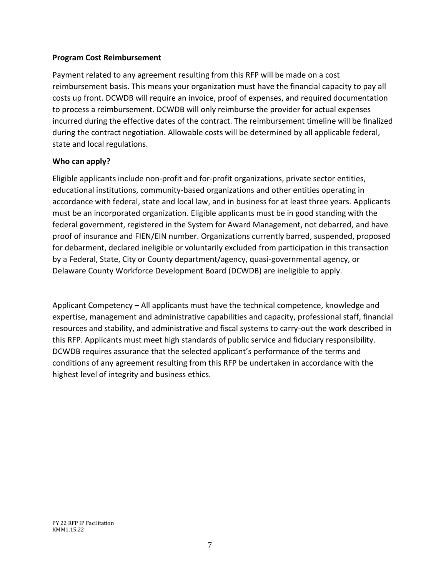#### **Program Cost Reimbursement**

Payment related to any agreement resulting from this RFP will be made on a cost reimbursement basis. This means your organization must have the financial capacity to pay all costs up front. DCWDB will require an invoice, proof of expenses, and required documentation to process a reimbursement. DCWDB will only reimburse the provider for actual expenses incurred during the effective dates of the contract. The reimbursement timeline will be finalized during the contract negotiation. Allowable costs will be determined by all applicable federal, state and local regulations.

#### **Who can apply?**

Eligible applicants include non-profit and for-profit organizations, private sector entities, educational institutions, community-based organizations and other entities operating in accordance with federal, state and local law, and in business for at least three years. Applicants must be an incorporated organization. Eligible applicants must be in good standing with the federal government, registered in the System for Award Management, not debarred, and have proof of insurance and FIEN/EIN number. Organizations currently barred, suspended, proposed for debarment, declared ineligible or voluntarily excluded from participation in this transaction by a Federal, State, City or County department/agency, quasi-governmental agency, or Delaware County Workforce Development Board (DCWDB) are ineligible to apply.

Applicant Competency – All applicants must have the technical competence, knowledge and expertise, management and administrative capabilities and capacity, professional staff, financial resources and stability, and administrative and fiscal systems to carry-out the work described in this RFP. Applicants must meet high standards of public service and fiduciary responsibility. DCWDB requires assurance that the selected applicant's performance of the terms and conditions of any agreement resulting from this RFP be undertaken in accordance with the highest level of integrity and business ethics.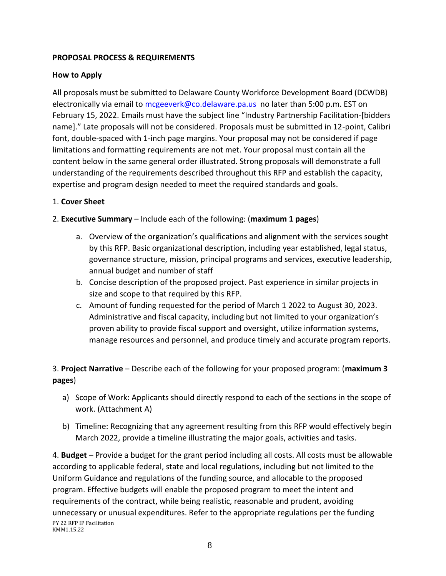# **PROPOSAL PROCESS & REQUIREMENTS**

# **How to Apply**

All proposals must be submitted to Delaware County Workforce Development Board (DCWDB) electronically via email to [mcgeeverk@co.delaware.pa.us](mailto:mcgeeverk@co.delaware.pa.us) no later than 5:00 p.m. EST on February 15, 2022. Emails must have the subject line "Industry Partnership Facilitation-[bidders name]." Late proposals will not be considered. Proposals must be submitted in 12-point, Calibri font, double-spaced with 1-inch page margins. Your proposal may not be considered if page limitations and formatting requirements are not met. Your proposal must contain all the content below in the same general order illustrated. Strong proposals will demonstrate a full understanding of the requirements described throughout this RFP and establish the capacity, expertise and program design needed to meet the required standards and goals.

# 1. **Cover Sheet**

#### 2. **Executive Summary** – Include each of the following: (**maximum 1 pages**)

- a. Overview of the organization's qualifications and alignment with the services sought by this RFP. Basic organizational description, including year established, legal status, governance structure, mission, principal programs and services, executive leadership, annual budget and number of staff
- b. Concise description of the proposed project. Past experience in similar projects in size and scope to that required by this RFP.
- c. Amount of funding requested for the period of March 1 2022 to August 30, 2023. Administrative and fiscal capacity, including but not limited to your organization's proven ability to provide fiscal support and oversight, utilize information systems, manage resources and personnel, and produce timely and accurate program reports.

# 3. **Project Narrative** – Describe each of the following for your proposed program: (**maximum 3 pages**)

- a) Scope of Work: Applicants should directly respond to each of the sections in the scope of work. (Attachment A)
- b) Timeline: Recognizing that any agreement resulting from this RFP would effectively begin March 2022, provide a timeline illustrating the major goals, activities and tasks.

PY 22 RFP IP Facilitation KMM1.15.22 4. **Budget** – Provide a budget for the grant period including all costs. All costs must be allowable according to applicable federal, state and local regulations, including but not limited to the Uniform Guidance and regulations of the funding source, and allocable to the proposed program. Effective budgets will enable the proposed program to meet the intent and requirements of the contract, while being realistic, reasonable and prudent, avoiding unnecessary or unusual expenditures. Refer to the appropriate regulations per the funding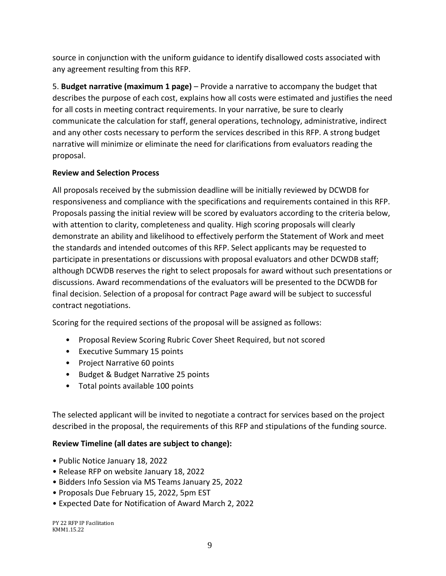source in conjunction with the uniform guidance to identify disallowed costs associated with any agreement resulting from this RFP.

5. **Budget narrative (maximum 1 page)** – Provide a narrative to accompany the budget that describes the purpose of each cost, explains how all costs were estimated and justifies the need for all costs in meeting contract requirements. In your narrative, be sure to clearly communicate the calculation for staff, general operations, technology, administrative, indirect and any other costs necessary to perform the services described in this RFP. A strong budget narrative will minimize or eliminate the need for clarifications from evaluators reading the proposal.

# **Review and Selection Process**

All proposals received by the submission deadline will be initially reviewed by DCWDB for responsiveness and compliance with the specifications and requirements contained in this RFP. Proposals passing the initial review will be scored by evaluators according to the criteria below, with attention to clarity, completeness and quality. High scoring proposals will clearly demonstrate an ability and likelihood to effectively perform the Statement of Work and meet the standards and intended outcomes of this RFP. Select applicants may be requested to participate in presentations or discussions with proposal evaluators and other DCWDB staff; although DCWDB reserves the right to select proposals for award without such presentations or discussions. Award recommendations of the evaluators will be presented to the DCWDB for final decision. Selection of a proposal for contract Page award will be subject to successful contract negotiations.

Scoring for the required sections of the proposal will be assigned as follows:

- Proposal Review Scoring Rubric Cover Sheet Required, but not scored
- Executive Summary 15 points
- Project Narrative 60 points
- Budget & Budget Narrative 25 points
- Total points available 100 points

The selected applicant will be invited to negotiate a contract for services based on the project described in the proposal, the requirements of this RFP and stipulations of the funding source.

#### **Review Timeline (all dates are subject to change):**

- Public Notice January 18, 2022
- Release RFP on website January 18, 2022
- Bidders Info Session via MS Teams January 25, 2022
- Proposals Due February 15, 2022, 5pm EST
- Expected Date for Notification of Award March 2, 2022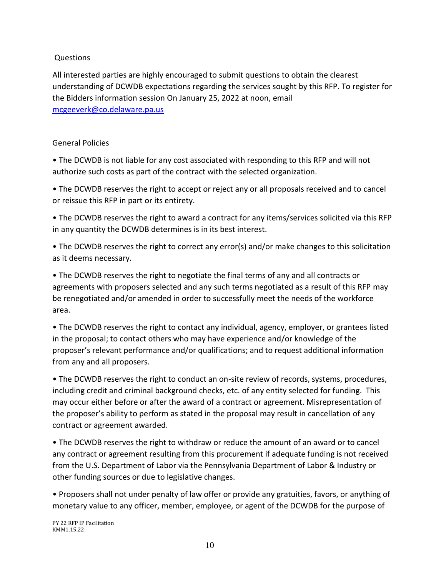# **Questions**

All interested parties are highly encouraged to submit questions to obtain the clearest understanding of DCWDB expectations regarding the services sought by this RFP. To register for the Bidders information session On January 25, 2022 at noon, email [mcgeeverk@co.delaware.pa.us](mailto:mcgeeverk@co.delaware.pa.us) 

# General Policies

• The DCWDB is not liable for any cost associated with responding to this RFP and will not authorize such costs as part of the contract with the selected organization.

• The DCWDB reserves the right to accept or reject any or all proposals received and to cancel or reissue this RFP in part or its entirety.

• The DCWDB reserves the right to award a contract for any items/services solicited via this RFP in any quantity the DCWDB determines is in its best interest.

• The DCWDB reserves the right to correct any error(s) and/or make changes to this solicitation as it deems necessary.

• The DCWDB reserves the right to negotiate the final terms of any and all contracts or agreements with proposers selected and any such terms negotiated as a result of this RFP may be renegotiated and/or amended in order to successfully meet the needs of the workforce area.

• The DCWDB reserves the right to contact any individual, agency, employer, or grantees listed in the proposal; to contact others who may have experience and/or knowledge of the proposer's relevant performance and/or qualifications; and to request additional information from any and all proposers.

• The DCWDB reserves the right to conduct an on-site review of records, systems, procedures, including credit and criminal background checks, etc. of any entity selected for funding. This may occur either before or after the award of a contract or agreement. Misrepresentation of the proposer's ability to perform as stated in the proposal may result in cancellation of any contract or agreement awarded.

• The DCWDB reserves the right to withdraw or reduce the amount of an award or to cancel any contract or agreement resulting from this procurement if adequate funding is not received from the U.S. Department of Labor via the Pennsylvania Department of Labor & Industry or other funding sources or due to legislative changes.

• Proposers shall not under penalty of law offer or provide any gratuities, favors, or anything of monetary value to any officer, member, employee, or agent of the DCWDB for the purpose of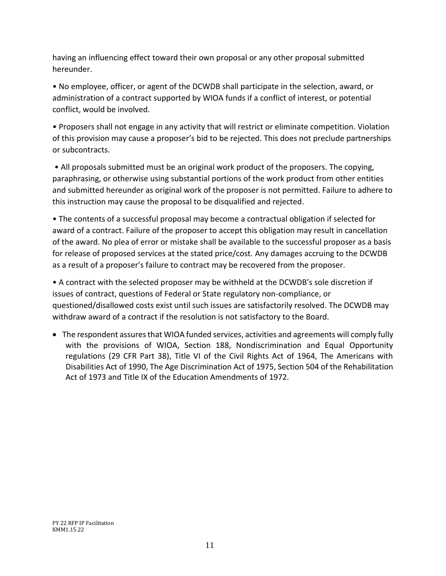having an influencing effect toward their own proposal or any other proposal submitted hereunder.

• No employee, officer, or agent of the DCWDB shall participate in the selection, award, or administration of a contract supported by WIOA funds if a conflict of interest, or potential conflict, would be involved.

• Proposers shall not engage in any activity that will restrict or eliminate competition. Violation of this provision may cause a proposer's bid to be rejected. This does not preclude partnerships or subcontracts.

• All proposals submitted must be an original work product of the proposers. The copying, paraphrasing, or otherwise using substantial portions of the work product from other entities and submitted hereunder as original work of the proposer is not permitted. Failure to adhere to this instruction may cause the proposal to be disqualified and rejected.

• The contents of a successful proposal may become a contractual obligation if selected for award of a contract. Failure of the proposer to accept this obligation may result in cancellation of the award. No plea of error or mistake shall be available to the successful proposer as a basis for release of proposed services at the stated price/cost. Any damages accruing to the DCWDB as a result of a proposer's failure to contract may be recovered from the proposer.

• A contract with the selected proposer may be withheld at the DCWDB's sole discretion if issues of contract, questions of Federal or State regulatory non-compliance, or questioned/disallowed costs exist until such issues are satisfactorily resolved. The DCWDB may withdraw award of a contract if the resolution is not satisfactory to the Board.

• The respondent assures that WIOA funded services, activities and agreements will comply fully with the provisions of WIOA, Section 188, Nondiscrimination and Equal Opportunity regulations (29 CFR Part 38), Title VI of the Civil Rights Act of 1964, The Americans with Disabilities Act of 1990, The Age Discrimination Act of 1975, Section 504 of the Rehabilitation Act of 1973 and Title IX of the Education Amendments of 1972.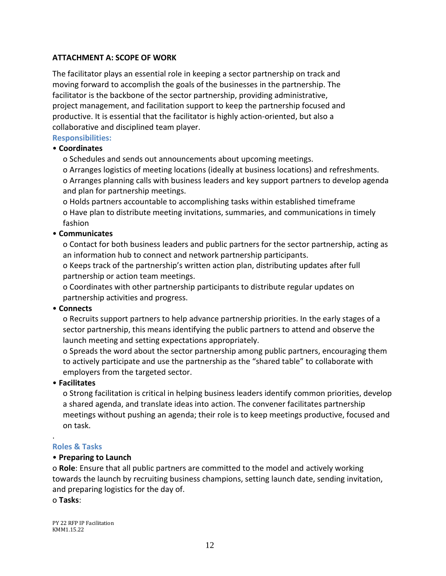# **ATTACHMENT A: SCOPE OF WORK**

The facilitator plays an essential role in keeping a sector partnership on track and moving forward to accomplish the goals of the businesses in the partnership. The facilitator is the backbone of the sector partnership, providing administrative, project management, and facilitation support to keep the partnership focused and productive. It is essential that the facilitator is highly action-oriented, but also a collaborative and disciplined team player.

#### **Responsibilities:**

#### • **Coordinates**

o Schedules and sends out announcements about upcoming meetings.

o Arranges logistics of meeting locations (ideally at business locations) and refreshments. o Arranges planning calls with business leaders and key support partners to develop agenda and plan for partnership meetings.

o Holds partners accountable to accomplishing tasks within established timeframe o Have plan to distribute meeting invitations, summaries, and communications in timely fashion

#### • **Communicates**

o Contact for both business leaders and public partners for the sector partnership, acting as an information hub to connect and network partnership participants.

o Keeps track of the partnership's written action plan, distributing updates after full partnership or action team meetings.

o Coordinates with other partnership participants to distribute regular updates on partnership activities and progress.

#### • **Connects**

o Recruits support partners to help advance partnership priorities. In the early stages of a sector partnership, this means identifying the public partners to attend and observe the launch meeting and setting expectations appropriately.

o Spreads the word about the sector partnership among public partners, encouraging them to actively participate and use the partnership as the "shared table" to collaborate with employers from the targeted sector.

#### • **Facilitates**

o Strong facilitation is critical in helping business leaders identify common priorities, develop a shared agenda, and translate ideas into action. The convener facilitates partnership meetings without pushing an agenda; their role is to keep meetings productive, focused and on task.

#### **Roles & Tasks**

.

#### • **Preparing to Launch**

o **Role**: Ensure that all public partners are committed to the model and actively working towards the launch by recruiting business champions, setting launch date, sending invitation, and preparing logistics for the day of.

o **Tasks**: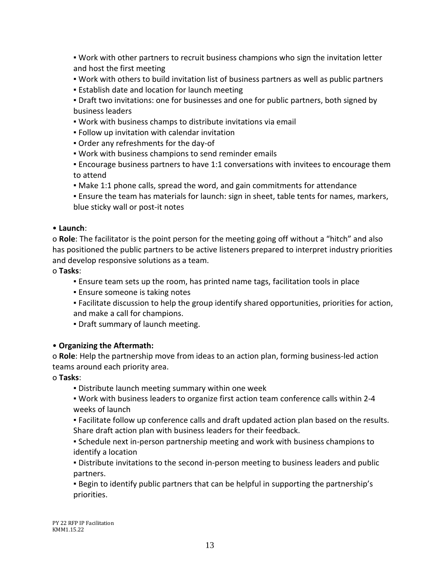▪ Work with other partners to recruit business champions who sign the invitation letter and host the first meeting

- Work with others to build invitation list of business partners as well as public partners
- **Establish date and location for launch meeting**
- Draft two invitations: one for businesses and one for public partners, both signed by business leaders
- Work with business champs to distribute invitations via email
- Follow up invitation with calendar invitation
- Order any refreshments for the day-of
- Work with business champions to send reminder emails
- Encourage business partners to have 1:1 conversations with invitees to encourage them to attend
- Make 1:1 phone calls, spread the word, and gain commitments for attendance
- Ensure the team has materials for launch: sign in sheet, table tents for names, markers, blue sticky wall or post-it notes

#### • **Launch**:

o **Role**: The facilitator is the point person for the meeting going off without a "hitch" and also has positioned the public partners to be active listeners prepared to interpret industry priorities and develop responsive solutions as a team.

#### o **Tasks**:

- Ensure team sets up the room, has printed name tags, facilitation tools in place
- **Ensure someone is taking notes**
- Facilitate discussion to help the group identify shared opportunities, priorities for action, and make a call for champions.
- Draft summary of launch meeting.

#### • **Organizing the Aftermath:**

o **Role**: Help the partnership move from ideas to an action plan, forming business-led action teams around each priority area.

#### o **Tasks**:

- **Distribute launch meeting summary within one week**
- Work with business leaders to organize first action team conference calls within 2-4 weeks of launch
- Facilitate follow up conference calls and draft updated action plan based on the results. Share draft action plan with business leaders for their feedback.
- Schedule next in-person partnership meeting and work with business champions to identify a location
- **Distribute invitations to the second in-person meeting to business leaders and public** partners.
- Begin to identify public partners that can be helpful in supporting the partnership's priorities.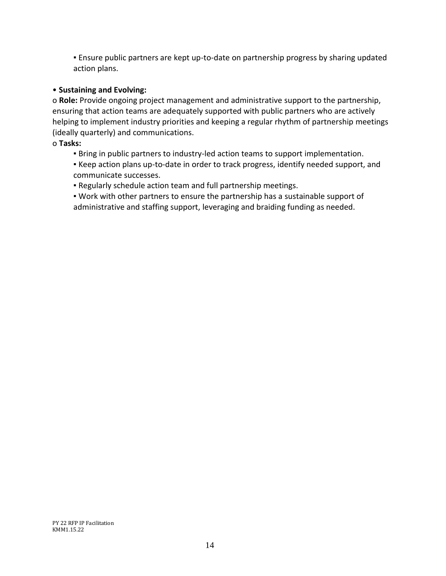**Ensure public partners are kept up-to-date on partnership progress by sharing updated** action plans.

# • **Sustaining and Evolving:**

o **Role:** Provide ongoing project management and administrative support to the partnership, ensuring that action teams are adequately supported with public partners who are actively helping to implement industry priorities and keeping a regular rhythm of partnership meetings (ideally quarterly) and communications.

# o **Tasks:**

- **E** Bring in public partners to industry-led action teams to support implementation.
- Keep action plans up-to-date in order to track progress, identify needed support, and communicate successes.
- Regularly schedule action team and full partnership meetings.
- Work with other partners to ensure the partnership has a sustainable support of administrative and staffing support, leveraging and braiding funding as needed.